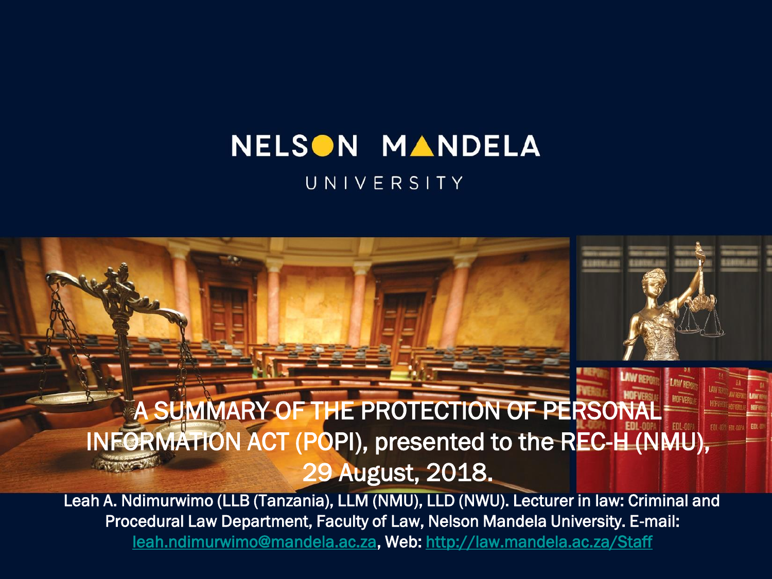#### NELSON MANDELA UNIVERSITY

#### A SUMMARY OF THE PROTECTION OF PERSONAL INFORMATION ACT (POPI), presented to the REC-H (NMU), 29 August, 2018.

Leah A. Ndimurwimo (LLB (Tanzania), LLM (NMU), LLD (NWU). Lecturer in law: Criminal and Procedural Law Department, Faculty of Law, Nelson Mandela University. E-mail: [leah.ndimurwimo@mandela.ac.za,](mailto:leah.ndimurwimo@mandela.ac.za) Web:<http://law.mandela.ac.za/Staff>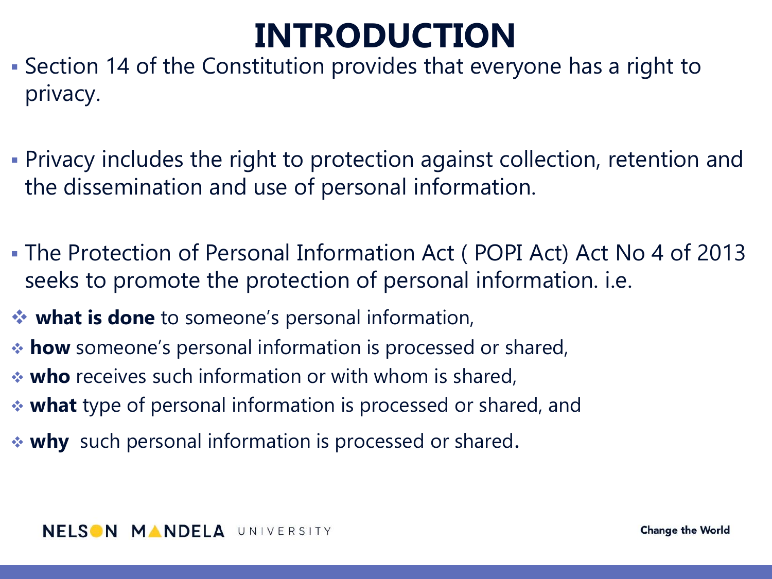## **INTRODUCTION**

- Section 14 of the Constitution provides that everyone has a right to privacy.
- Privacy includes the right to protection against collection, retention and the dissemination and use of personal information.
- The Protection of Personal Information Act ( POPI Act) Act No 4 of 2013 seeks to promote the protection of personal information. i.e.
- **what is done** to someone's personal information,
- **how** someone's personal information is processed or shared,
- **who** receives such information or with whom is shared,
- **what** type of personal information is processed or shared, and
- **why** such personal information is processed or shared.

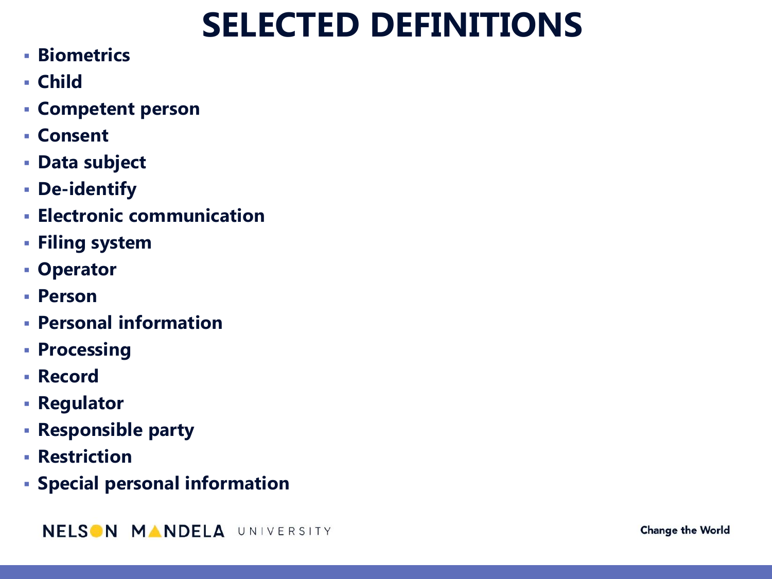## **SELECTED DEFINITIONS**

- **Biometrics**
- **Child**
- **Competent person**
- **Consent**
- **Data subject**
- **De-identify**
- **Electronic communication**
- **Filing system**
- **Operator**
- **Person**
- **Personal information**
- **Processing**
- **Record**
- **Regulator**
- **Responsible party**
- **Restriction**
- **Special personal information**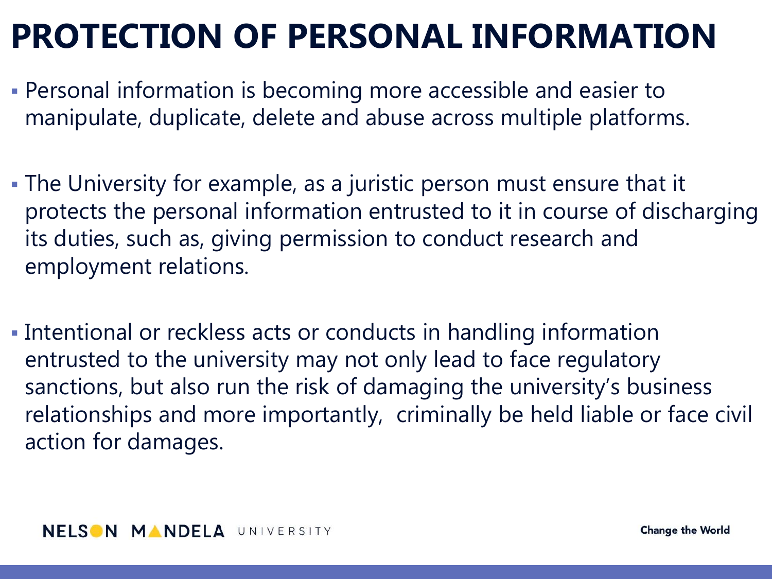## **PROTECTION OF PERSONAL INFORMATION**

- Personal information is becoming more accessible and easier to manipulate, duplicate, delete and abuse across multiple platforms.
- The University for example, as a juristic person must ensure that it protects the personal information entrusted to it in course of discharging its duties, such as, giving permission to conduct research and employment relations.
- Intentional or reckless acts or conducts in handling information entrusted to the university may not only lead to face regulatory sanctions, but also run the risk of damaging the university's business relationships and more importantly, criminally be held liable or face civil action for damages.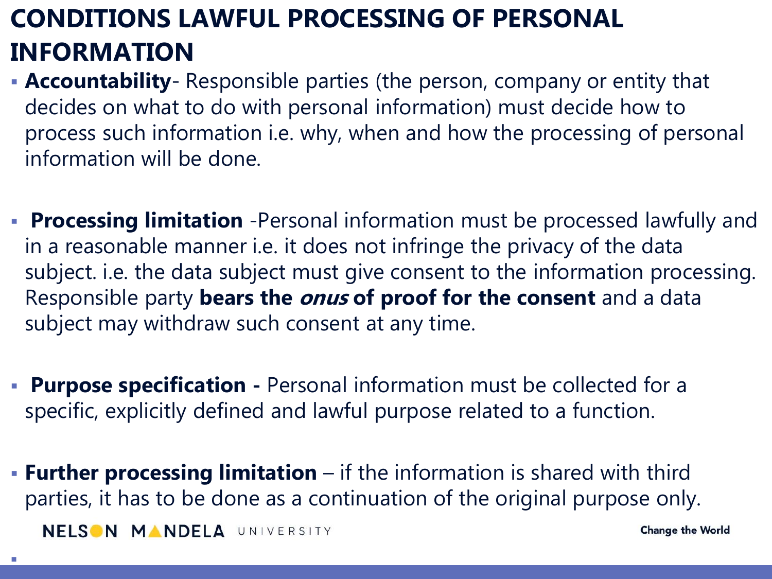#### **CONDITIONS LAWFUL PROCESSING OF PERSONAL INFORMATION**

- **Accountability** Responsible parties (the person, company or entity that decides on what to do with personal information) must decide how to process such information i.e. why, when and how the processing of personal information will be done.
- **Processing limitation** -Personal information must be processed lawfully and in a reasonable manner i.e. it does not infringe the privacy of the data subject. i.e. the data subject must give consent to the information processing. Responsible party **bears the onus of proof for the consent** and a data subject may withdraw such consent at any time.
- **Purpose specification -** Personal information must be collected for a specific, explicitly defined and lawful purpose related to a function.
- **Further processing limitation**  if the information is shared with third parties, it has to be done as a continuation of the original purpose only. NELSON MANDELA UNIVERSITY **Change the World**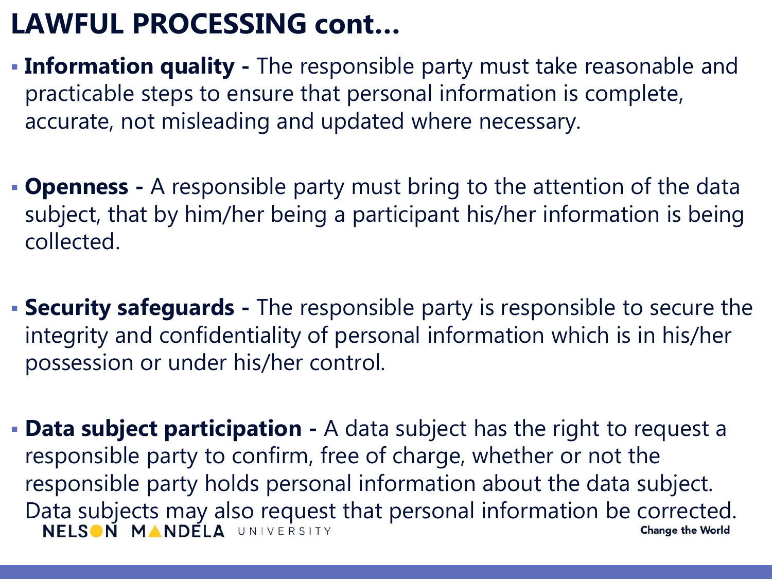### **LAWFUL PROCESSING cont…**

- **Information quality -** The responsible party must take reasonable and practicable steps to ensure that personal information is complete, accurate, not misleading and updated where necessary.
- **Openness -** A responsible party must bring to the attention of the data subject, that by him/her being a participant his/her information is being collected.
- **Security safeguards -** The responsible party is responsible to secure the integrity and confidentiality of personal information which is in his/her possession or under his/her control.
- **Data subject participation -** A data subject has the right to request a responsible party to confirm, free of charge, whether or not the responsible party holds personal information about the data subject. Data subjects may also request that personal information be corrected.<br>NELSON MANDELA UNIVERSITY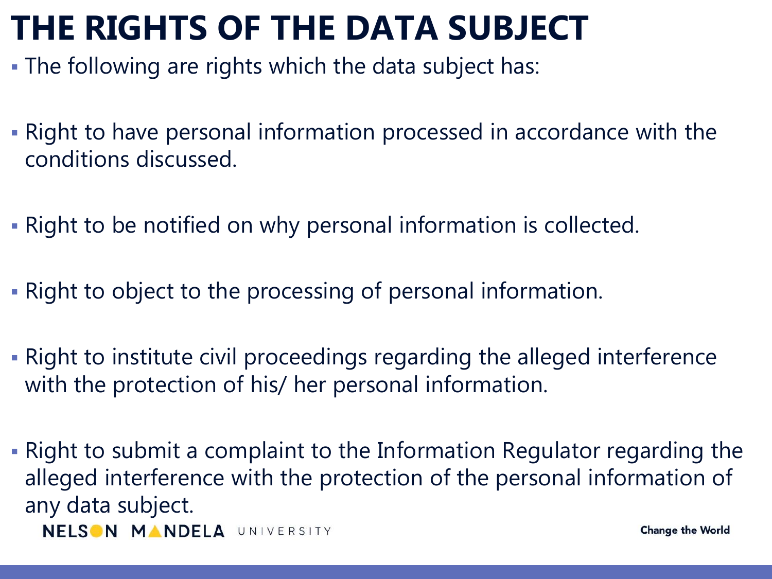### **THE RIGHTS OF THE DATA SUBJECT**

- The following are rights which the data subject has:
- Right to have personal information processed in accordance with the conditions discussed.
- Right to be notified on why personal information is collected.
- Right to object to the processing of personal information.
- Right to institute civil proceedings regarding the alleged interference with the protection of his/ her personal information.
- Right to submit a complaint to the Information Regulator regarding the alleged interference with the protection of the personal information of any data subject. NELSON MANDELA UNIVERSITY **Change the World**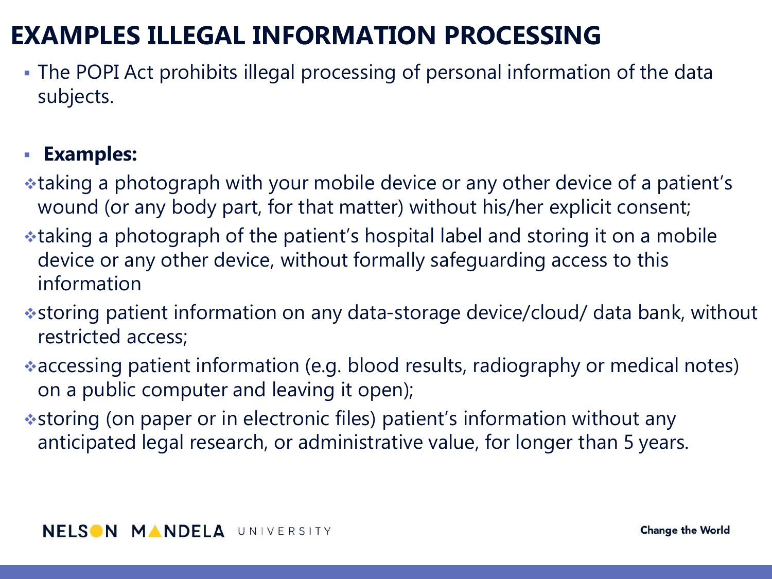#### **EXAMPLES ILLEGAL INFORMATION PROCESSING**

 The POPI Act prohibits illegal processing of personal information of the data subjects.

#### **Examples:**

- taking a photograph with your mobile device or any other device of a patient's wound (or any body part, for that matter) without his/her explicit consent;
- taking a photograph of the patient's hospital label and storing it on a mobile device or any other device, without formally safeguarding access to this information
- storing patient information on any data-storage device/cloud/ data bank, without restricted access;
- accessing patient information (e.g. blood results, radiography or medical notes) on a public computer and leaving it open);
- storing (on paper or in electronic files) patient's information without any anticipated legal research, or administrative value, for longer than 5 years.

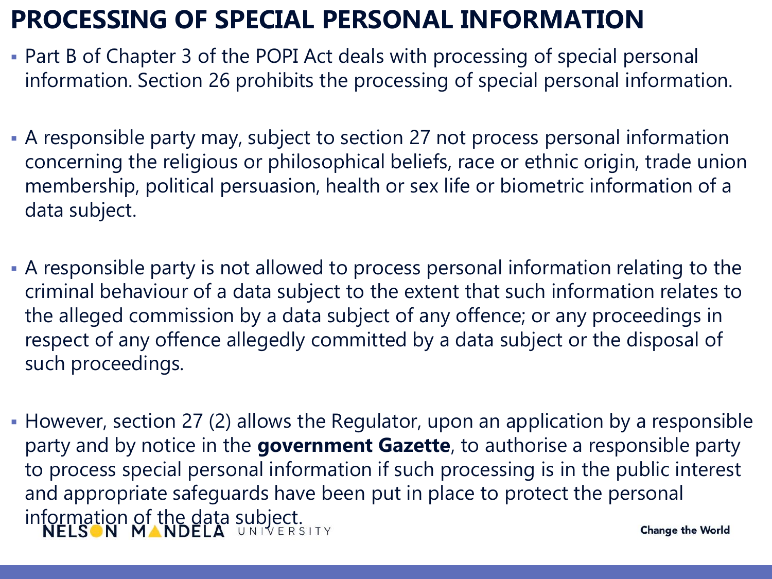#### **PROCESSING OF SPECIAL PERSONAL INFORMATION**

- Part B of Chapter 3 of the POPI Act deals with processing of special personal information. Section 26 prohibits the processing of special personal information.
- A responsible party may, subject to section 27 not process personal information concerning the religious or philosophical beliefs, race or ethnic origin, trade union membership, political persuasion, health or sex life or biometric information of a data subject.
- A responsible party is not allowed to process personal information relating to the criminal behaviour of a data subject to the extent that such information relates to the alleged commission by a data subject of any offence; or any proceedings in respect of any offence allegedly committed by a data subject or the disposal of such proceedings.
- However, section 27 (2) allows the Regulator, upon an application by a responsible party and by notice in the **government Gazette**, to authorise a responsible party to process special personal information if such processing is in the public interest and appropriate safeguards have been put in place to protect the personal information of the data subject.<br>NELSON MANDELA UNIVERSITY **Change the World**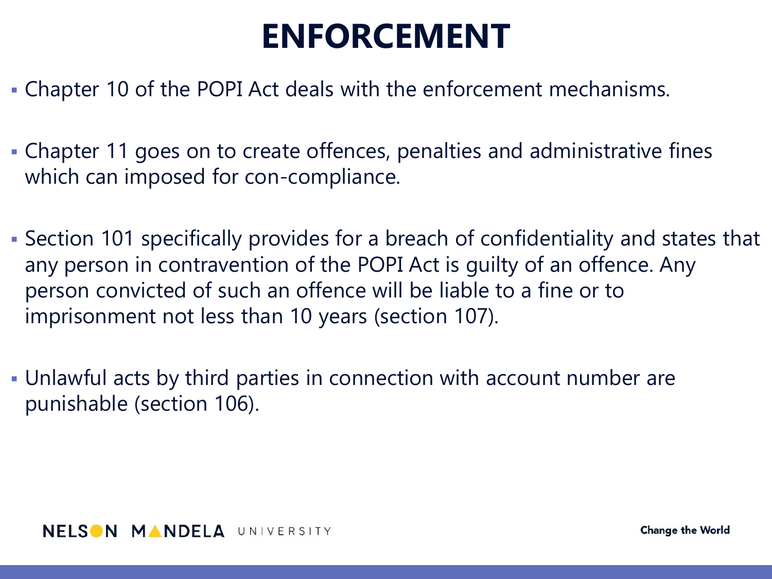### **ENFORCEMENT**

- Chapter 10 of the POPI Act deals with the enforcement mechanisms.
- Chapter 11 goes on to create offences, penalties and administrative fines which can imposed for con-compliance.
- Section 101 specifically provides for a breach of confidentiality and states that any person in contravention of the POPI Act is guilty of an offence. Any person convicted of such an offence will be liable to a fine or to imprisonment not less than 10 years (section 107).
- Unlawful acts by third parties in connection with account number are punishable (section 106).

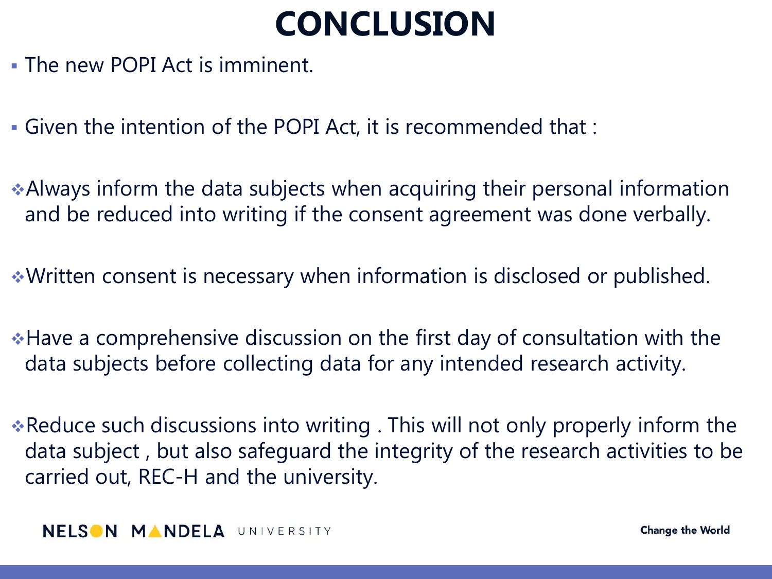### **CONCLUSION**

- The new POPI Act is imminent.
- Given the intention of the POPI Act, it is recommended that :
- Always inform the data subjects when acquiring their personal information and be reduced into writing if the consent agreement was done verbally.
- Written consent is necessary when information is disclosed or published.
- Have a comprehensive discussion on the first day of consultation with the data subjects before collecting data for any intended research activity.
- Reduce such discussions into writing . This will not only properly inform the data subject , but also safeguard the integrity of the research activities to be carried out, REC-H and the university.

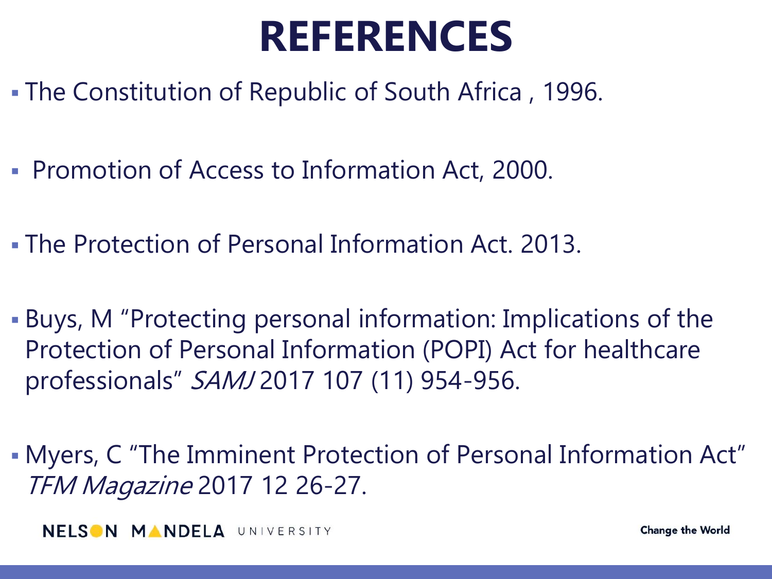# **REFERENCES**

- The Constitution of Republic of South Africa , 1996.
- **Promotion of Access to Information Act, 2000.**
- The Protection of Personal Information Act. 2013.
- Buys, M "Protecting personal information: Implications of the Protection of Personal Information (POPI) Act for healthcare professionals" SAMJ 2017 107 (11) 954-956.
- Myers, C "The Imminent Protection of Personal Information Act" TFM Magazine 2017 12 26-27.

**NELSON MANDELA UNIVERSITY**